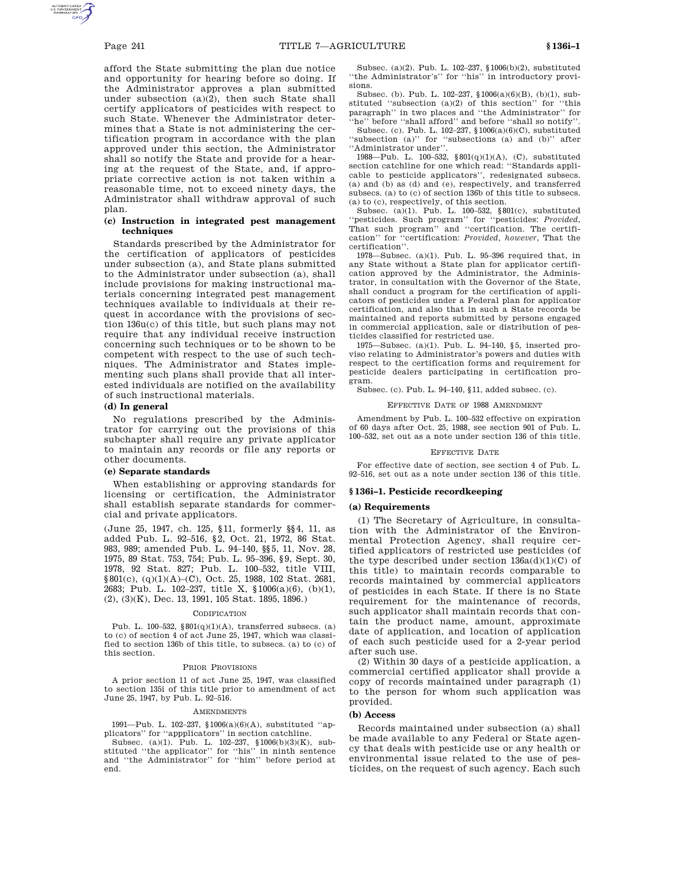afford the State submitting the plan due notice and opportunity for hearing before so doing. If the Administrator approves a plan submitted under subsection (a)(2), then such State shall certify applicators of pesticides with respect to such State. Whenever the Administrator determines that a State is not administering the certification program in accordance with the plan approved under this section, the Administrator shall so notify the State and provide for a hearing at the request of the State, and, if appropriate corrective action is not taken within a reasonable time, not to exceed ninety days, the Administrator shall withdraw approval of such plan.

# **(c) Instruction in integrated pest management techniques**

Standards prescribed by the Administrator for the certification of applicators of pesticides under subsection (a), and State plans submitted to the Administrator under subsection (a), shall include provisions for making instructional materials concerning integrated pest management techniques available to individuals at their request in accordance with the provisions of section 136u(c) of this title, but such plans may not require that any individual receive instruction concerning such techniques or to be shown to be competent with respect to the use of such techniques. The Administrator and States implementing such plans shall provide that all interested individuals are notified on the availability of such instructional materials.

# **(d) In general**

No regulations prescribed by the Administrator for carrying out the provisions of this subchapter shall require any private applicator to maintain any records or file any reports or other documents.

# **(e) Separate standards**

When establishing or approving standards for licensing or certification, the Administrator shall establish separate standards for commercial and private applicators.

(June 25, 1947, ch. 125, §11, formerly §§4, 11, as added Pub. L. 92–516, §2, Oct. 21, 1972, 86 Stat. 983, 989; amended Pub. L. 94–140, §§5, 11, Nov. 28, 1975, 89 Stat. 753, 754; Pub. L. 95–396, §9, Sept. 30, 1978, 92 Stat. 827; Pub. L. 100–532, title VIII, §801(c), (q)(1)(A)–(C), Oct. 25, 1988, 102 Stat. 2681, 2683; Pub. L. 102–237, title X, §1006(a)(6), (b)(1), (2), (3)(K), Dec. 13, 1991, 105 Stat. 1895, 1896.)

#### **CODIFICATION**

Pub. L. 100–532,  $\S01(q)(1)(A)$ , transferred subsecs. (a) to (c) of section 4 of act June 25, 1947, which was classified to section 136b of this title, to subsecs. (a) to (c) of this section.

### PRIOR PROVISIONS

A prior section 11 of act June 25, 1947, was classified to section 135i of this title prior to amendment of act June 25, 1947, by Pub. L. 92–516.

### **AMENDMENTS**

1991—Pub. L. 102–237, §1006(a)(6)(A), substituted ''applicators'' for ''appplicators'' in section catchline.

Subsec. (a)(1). Pub. L. 102–237, §1006(b)(3)(K), substituted ''the applicator'' for ''his'' in ninth sentence and ''the Administrator'' for ''him'' before period at end.

Subsec. (a)(2). Pub. L. 102–237, §1006(b)(2), substituted ''the Administrator's'' for ''his'' in introductory provisions.

Subsec. (b). Pub. L. 102–237, §1006(a)(6)(B), (b)(1), substituted ''subsection (a)(2) of this section'' for ''this paragraph'' in two places and ''the Administrator'' for "he" before "shall afford" and before "shall so notify".

Subsec. (c). Pub. L. 102–237, §1006(a)(6)(C), substituted ''subsection (a)'' for ''subsections (a) and (b)'' after ''Administrator under''.

1988—Pub. L. 100–532, §801(q)(1)(A), (C), substituted section catchline for one which read: ''Standards applicable to pesticide applicators'', redesignated subsecs. (a) and (b) as (d) and (e), respectively, and transferred subsecs. (a) to (c) of section 136b of this title to subsecs. (a) to (c), respectively, of this section.

Subsec. (a)(1). Pub. L. 100–532, §801(c), substituted ''pesticides. Such program'' for ''pesticides: *Provided*, That such program'' and ''certification. The certification'' for ''certification: *Provided, however*, That the certification''.

1978—Subsec. (a)(1). Pub. L. 95–396 required that, in any State without a State plan for applicator certification approved by the Administrator, the Administrator, in consultation with the Governor of the State, shall conduct a program for the certification of applicators of pesticides under a Federal plan for applicator certification, and also that in such a State records be maintained and reports submitted by persons engaged in commercial application, sale or distribution of pesticides classified for restricted use.

1975—Subsec. (a)(1). Pub. L. 94–140, §5, inserted proviso relating to Administrator's powers and duties with respect to the certification forms and requirement for pesticide dealers participating in certification program.

Subsec. (c). Pub. L. 94–140, §11, added subsec. (c).

# EFFECTIVE DATE OF 1988 AMENDMENT

Amendment by Pub. L. 100–532 effective on expiration of 60 days after Oct. 25, 1988, see section 901 of Pub. L. 100–532, set out as a note under section 136 of this title.

## EFFECTIVE DATE

For effective date of section, see section 4 of Pub. L. 92–516, set out as a note under section 136 of this title.

# **§ 136i–1. Pesticide recordkeeping**

## **(a) Requirements**

(1) The Secretary of Agriculture, in consultation with the Administrator of the Environmental Protection Agency, shall require certified applicators of restricted use pesticides (of the type described under section  $136a(d)(1)(C)$  of this title) to maintain records comparable to records maintained by commercial applicators of pesticides in each State. If there is no State requirement for the maintenance of records, such applicator shall maintain records that contain the product name, amount, approximate date of application, and location of application of each such pesticide used for a 2-year period after such use.

(2) Within 30 days of a pesticide application, a commercial certified applicator shall provide a copy of records maintained under paragraph (1) to the person for whom such application was provided.

# **(b) Access**

Records maintained under subsection (a) shall be made available to any Federal or State agency that deals with pesticide use or any health or environmental issue related to the use of pesticides, on the request of such agency. Each such